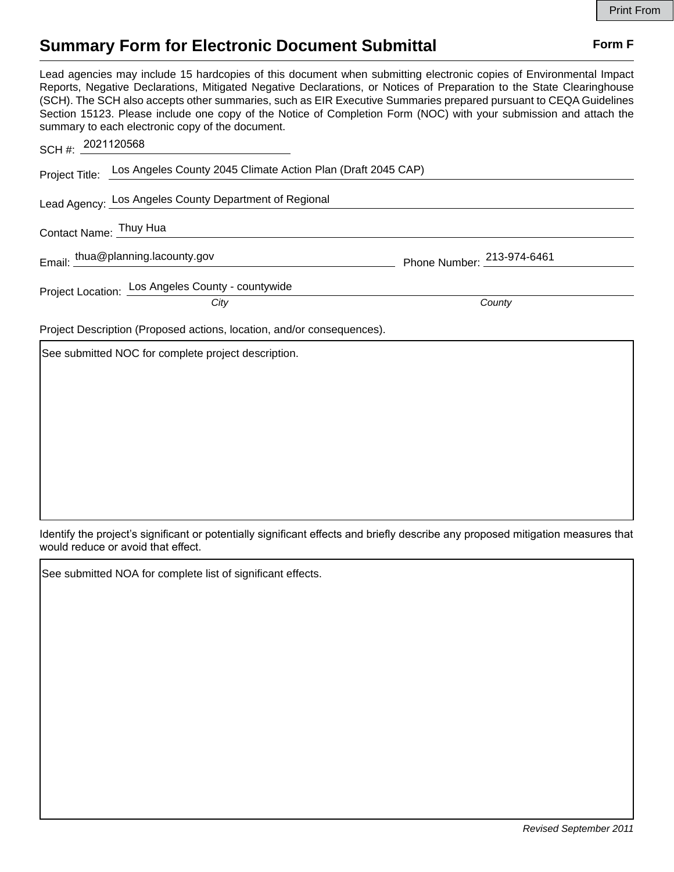## **Summary Form for Electronic Document Submittal Form F Form F**

Lead agencies may include 15 hardcopies of this document when submitting electronic copies of Environmental Impact Reports, Negative Declarations, Mitigated Negative Declarations, or Notices of Preparation to the State Clearinghouse (SCH). The SCH also accepts other summaries, such as EIR Executive Summaries prepared pursuant to CEQA Guidelines Section 15123. Please include one copy of the Notice of Completion Form (NOC) with your submission and attach the summary to each electronic copy of the document. 2021120568

| SCH #: 2021120568                                                      |                                                                             |                            |  |
|------------------------------------------------------------------------|-----------------------------------------------------------------------------|----------------------------|--|
|                                                                        | Project Title: Los Angeles County 2045 Climate Action Plan (Draft 2045 CAP) |                            |  |
|                                                                        | Lead Agency: Los Angeles County Department of Regional                      |                            |  |
| Contact Name: Thuy Hua                                                 |                                                                             |                            |  |
|                                                                        | Email: thua@planning.lacounty.gov                                           | Phone Number: 213-974-6461 |  |
|                                                                        | Project Location: Los Angeles County - countywide<br>City                   | County                     |  |
| Project Description (Proposed actions, location, and/or consequences). |                                                                             |                            |  |
|                                                                        | See submitted NOC for complete project description.                         |                            |  |

Identify the project's significant or potentially significant effects and briefly describe any proposed mitigation measures that would reduce or avoid that effect.

See submitted NOA for complete list of significant effects.